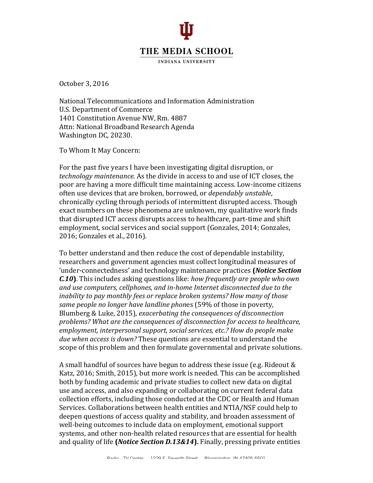

**INDIANA UNIVERSITY** 

October 3, 2016

National Telecommunications and Information Administration U.S. Department of Commerce 1401 Constitution Avenue NW, Rm. 4887 Attn: National Broadband Research Agenda Washington DC, 20230.

To Whom It May Concern:

For the past five years I have been investigating digital disruption, or *technology maintenance.* As the divide in access to and use of ICT closes, the poor are having a more difficult time maintaining access. Low-income citizens often use devices that are broken, borrowed, or *dependably unstable*, chronically cycling through periods of intermittent disrupted access. Though exact numbers on these phenomena are unknown, my qualitative work finds that disrupted ICT access disrupts access to healthcare, part-time and shift employment, social services and social support (Gonzales, 2014; Gonzales, 2016; Gonzales et al., 2016).

To better understand and then reduce the cost of dependable instability, researchers and government agencies must collect longitudinal measures of 'under-connectedness' and technology maintenance practices **(***Notice Section C.10*. This includes asking questions like: how frequently are people who own and use computers, cellphones, and in-home Internet disconnected due to the *inability* to pay monthly fees or replace broken systems? How many of those *same people no longer have landline phones* (59% of those in poverty, Blumberg & Luke, 2015), *exacerbating the consequences of disconnection problems?* What are the consequences of disconnection for access to healthcare, *employment, interpersonal support, social services, etc.? How do people make due* when *access is down?* These questions are essential to understand the scope of this problem and then formulate governmental and private solutions.

A small handful of sources have begun to address these issue (e.g. Rideout & Katz, 2016; Smith, 2015), but more work is needed. This can be accomplished both by funding academic and private studies to collect new data on digital use and access, and also expanding or collaborating on current federal data collection efforts, including those conducted at the CDC or Health and Human Services. Collaborations between health entities and NTIA/NSF could help to deepen questions of access quality and stability, and broaden assessment of well-being outcomes to include data on employment, emotional support systems, and other non-health related resources that are essential for health and quality of life (*Notice Section D.13&14*). Finally, pressing private entities